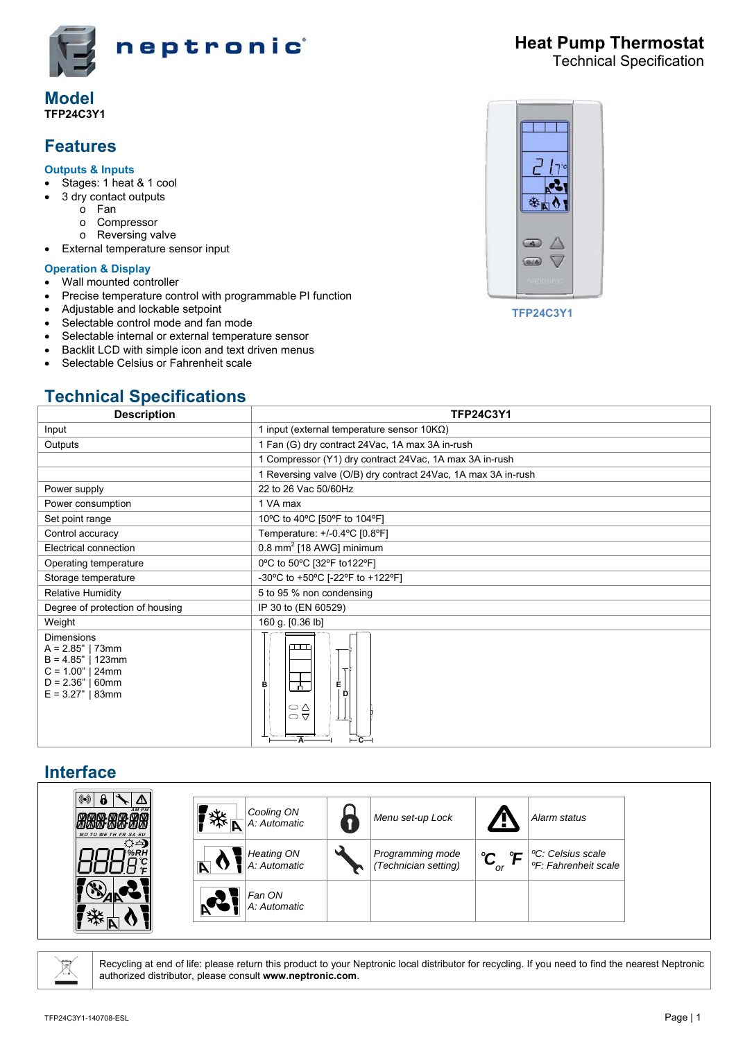

#### **Model TFP24C3Y1**

# **Features**

#### **Outputs & Inputs**

- Stages: 1 heat & 1 cool
- 3 dry contact outputs
	- o Fan
	- o Compressor
	- o Reversing valve
- External temperature sensor input

#### **Operation & Display**

- Wall mounted controller
- Precise temperature control with programmable PI function
- Adjustable and lockable setpoint
- Selectable control mode and fan mode
- Selectable internal or external temperature sensor
- Backlit LCD with simple icon and text driven menus
- Selectable Celsius or Fahrenheit scale

# **Technical Specifications**



**TFP24C3Y1** 

| <b>Description</b>                                                                                                               | <b>TFP24C3Y1</b>                                              |  |  |  |
|----------------------------------------------------------------------------------------------------------------------------------|---------------------------------------------------------------|--|--|--|
| Input                                                                                                                            | 1 input (external temperature sensor $10K\Omega$ )            |  |  |  |
| Outputs                                                                                                                          | 1 Fan (G) dry contract 24Vac, 1A max 3A in-rush               |  |  |  |
|                                                                                                                                  | 1 Compressor (Y1) dry contract 24Vac, 1A max 3A in-rush       |  |  |  |
|                                                                                                                                  | 1 Reversing valve (O/B) dry contract 24Vac, 1A max 3A in-rush |  |  |  |
| Power supply                                                                                                                     | 22 to 26 Vac 50/60Hz                                          |  |  |  |
| Power consumption                                                                                                                | 1 VA max                                                      |  |  |  |
| Set point range                                                                                                                  | 10°C to 40°C [50°F to 104°F]                                  |  |  |  |
| Control accuracy                                                                                                                 | Temperature: +/-0.4°C [0.8°F]                                 |  |  |  |
| Electrical connection                                                                                                            | 0.8 mm <sup>2</sup> [18 AWG] minimum                          |  |  |  |
| Operating temperature                                                                                                            | 0°C to 50°C [32°F to122°F]                                    |  |  |  |
| Storage temperature                                                                                                              | -30°C to +50°C [-22°F to +122°F]                              |  |  |  |
| <b>Relative Humidity</b>                                                                                                         | 5 to 95 % non condensing                                      |  |  |  |
| Degree of protection of housing                                                                                                  | IP 30 to (EN 60529)                                           |  |  |  |
| Weight                                                                                                                           | 160 g. [0.36 lb]                                              |  |  |  |
| <b>Dimensions</b><br>$A = 2.85"$   73mm<br>$B = 4.85"$   123mm<br>$C = 1.00"$   24mm<br>$D = 2.36"$   60mm<br>$E = 3.27"$   83mm | $\Box\Box$<br>È<br>в<br>- ተ<br>D<br>⇔∆<br>$\circ$<br>. Д.     |  |  |  |

### **Interface**

| $(\!\!(\!\! \bullet)\!\!)$<br>/!\<br>$M$ $\sim$ $M$ $\sim$ $M$ $M$ $\sim$ $M$ $M$ $\sim$<br>MMMMMMMMMM<br><b>MO TU WE TH FR SA SU</b> | 桊 | Cooling ON<br>A: Automatic        | Menu set-up Lock                         | . .                                                        | Alarm status                                                      |
|---------------------------------------------------------------------------------------------------------------------------------------|---|-----------------------------------|------------------------------------------|------------------------------------------------------------|-------------------------------------------------------------------|
| ଠ∸) <br>%RH                                                                                                                           |   | <b>Heating ON</b><br>A: Automatic | Programming mode<br>(Technician setting) | $^{\circ}$ r $^{\circ}$<br>ໍ $\mathbf{C}_{_{\mathrm{or}}}$ | <sup>o</sup> C: Celsius scale<br><sup>o</sup> F: Fahrenheit scale |
| 汝<br>F                                                                                                                                |   | Fan ON<br>A: Automatic            |                                          |                                                            |                                                                   |

g

Recycling at end of life: please return this product to your Neptronic local distributor for recycling. If you need to find the nearest Neptronic authorized distributor, please consult **www.neptronic.com**.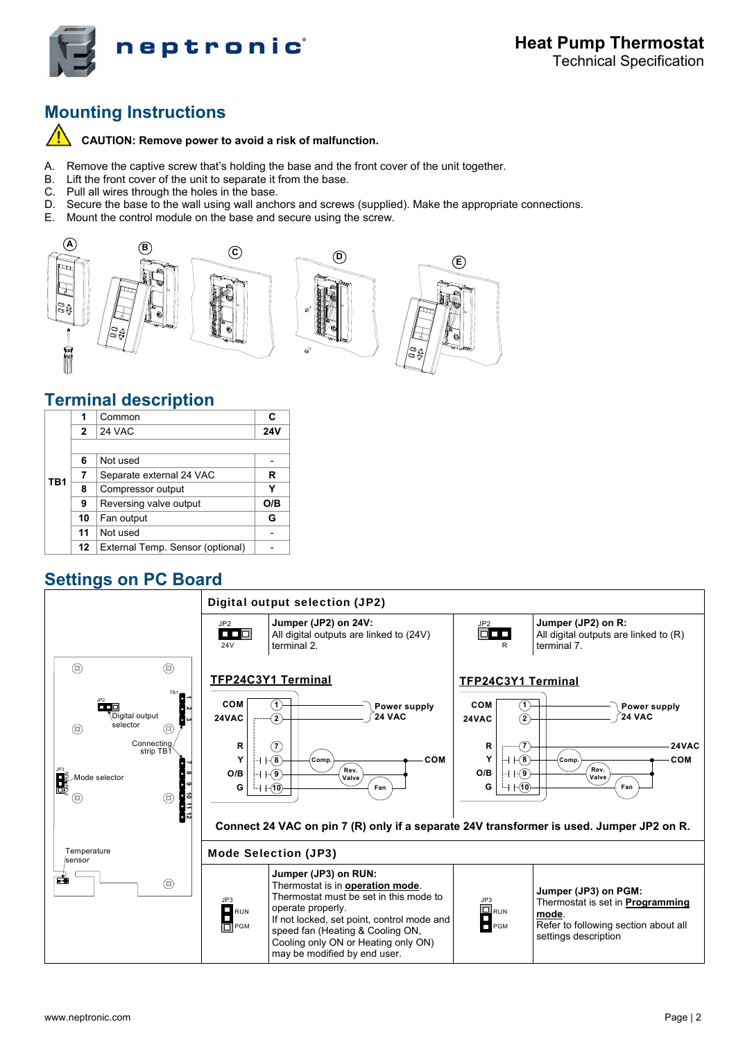

# **Mounting Instructions**

 $\sqrt{r}$ **CAUTION: Remove power to avoid a risk of malfunction.** 

- A. Remove the captive screw that's holding the base and the front cover of the unit together.
- B. Lift the front cover of the unit to separate it from the base.
- C. Pull all wires through the holes in the base.
- D. Secure the base to the wall using wall anchors and screws (supplied). Make the appropriate connections.
- E. Mount the control module on the base and secure using the screw.



### **Terminal description**

|                 |              | Common                           | C          |
|-----------------|--------------|----------------------------------|------------|
|                 | $\mathbf{2}$ | 24 VAC                           | <b>24V</b> |
|                 |              |                                  |            |
|                 | 6            | Not used                         |            |
| TB <sub>1</sub> |              | Separate external 24 VAC         | R          |
|                 | 8            | Compressor output                | Y          |
|                 | 9            | Reversing valve output           | O/B        |
|                 | 10           | Fan output                       | G          |
|                 | 11           | Not used                         |            |
|                 | 12           | External Temp. Sensor (optional) |            |

## **Settings on PC Board**

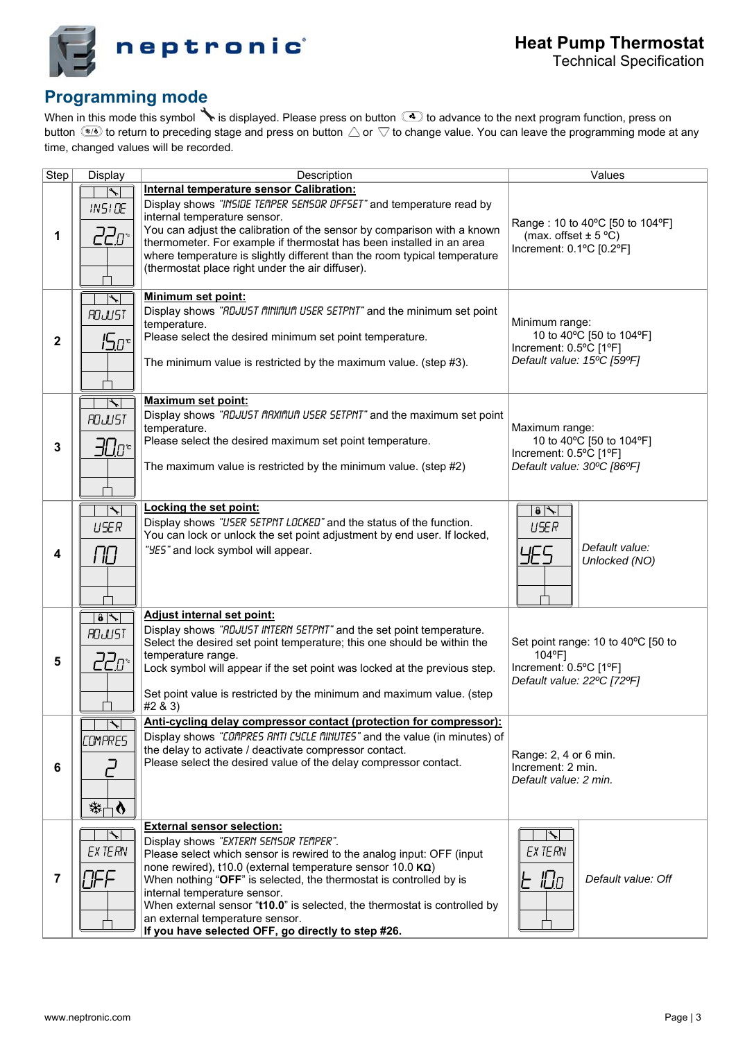

# **Programming mode**

When in this mode this symbol  $\searrow$  is displayed. Please press on button  $\textcircled{c}$  to advance to the next program function, press on button  $\circledast$  to return to preceding stage and press on button  $\triangle$  or  $\nabla$  to change value. You can leave the programming mode at any time, changed values will be recorded.

| Step           | Display                                                | Description<br>Values                                                                                                                                                                                                                                                                                                                                                                                                                                                                                  |                                                                                                      |  |
|----------------|--------------------------------------------------------|--------------------------------------------------------------------------------------------------------------------------------------------------------------------------------------------------------------------------------------------------------------------------------------------------------------------------------------------------------------------------------------------------------------------------------------------------------------------------------------------------------|------------------------------------------------------------------------------------------------------|--|
|                |                                                        | Internal temperature sensor Calibration:                                                                                                                                                                                                                                                                                                                                                                                                                                                               |                                                                                                      |  |
| 1              | IN51DE<br>22 <u>0°</u>                                 | Display shows "INSIDE TEMPER SENSOR OFFSET" and temperature read by<br>internal temperature sensor.<br>You can adjust the calibration of the sensor by comparison with a known<br>thermometer. For example if thermostat has been installed in an area<br>where temperature is slightly different than the room typical temperature<br>(thermostat place right under the air diffuser).                                                                                                                | Range: 10 to 40°C [50 to 104°F]<br>(max. offset $\pm$ 5 °C)<br>Increment: 0.1°C [0.2°F]              |  |
| $\mathbf{2}$   | $\blacktriangledown$<br><b>ROJUST</b><br>ים <i>ב</i> ו | <b>Minimum set point:</b><br>Display shows "RDJUST MINIMUM USER SETPNT" and the minimum set point<br>temperature.<br>Please select the desired minimum set point temperature.<br>The minimum value is restricted by the maximum value. (step #3).                                                                                                                                                                                                                                                      | Minimum range:<br>10 to 40°C [50 to 104°F]<br>Increment: 0.5°C [1°F]<br>Default value: 15°C [59°F]   |  |
| 3              | $\overline{\phantom{a}}$<br><b>ROJUST</b><br>30o°      | <b>Maximum set point:</b><br>Display shows "RDJUST MRXIMUM USER SETPNT" and the maximum set point<br>temperature.<br>Please select the desired maximum set point temperature.<br>The maximum value is restricted by the minimum value. (step #2)                                                                                                                                                                                                                                                       | Maximum range:<br>10 to 40°C [50 to 104°F]<br>Increment: 0.5°C [1°F]<br>Default value: 30°C [86°F]   |  |
| 4              | $\overline{\mathcal{F}}$<br><b>USER</b><br>ПO          | Locking the set point:<br>Display shows "USER SETPNT LOCKED" and the status of the function.<br>You can lock or unlock the set point adjustment by end user. If locked,<br>"YES" and lock symbol will appear.                                                                                                                                                                                                                                                                                          | $\theta$ $\rightarrow$<br>USER<br>Default value:<br>YES<br>Unlocked (NO)                             |  |
| 5              | $\overline{\bullet}$<br><b>ROJUST</b><br>22o*          | Adjust internal set point:<br>Display shows "RDJUST INTERN SETPNT" and the set point temperature.<br>Select the desired set point temperature; this one should be within the<br>temperature range.<br>Lock symbol will appear if the set point was locked at the previous step.<br>Set point value is restricted by the minimum and maximum value. (step<br>#2 & 3)                                                                                                                                    | Set point range: 10 to 40°C [50 to<br>104°F]<br>Increment: 0.5°C [1°F]<br>Default value: 22°C [72°F] |  |
| 6              | $\blacktriangleright$<br>COMPRES<br>举□<br>⊦♦           | Anti-cycling delay compressor contact (protection for compressor):<br>Display shows "COMPRES RNTI CYCLE MINUTES" and the value (in minutes) of<br>the delay to activate / deactivate compressor contact.<br>Please select the desired value of the delay compressor contact.                                                                                                                                                                                                                           | Range: 2, 4 or 6 min.<br>Increment: 2 min.<br>Default value: 2 min.                                  |  |
| $\overline{7}$ | EX TERN<br>7FF                                         | <b>External sensor selection:</b><br>Display shows "EXTERN SENSOR TEMPER".<br>Please select which sensor is rewired to the analog input: OFF (input)<br>none rewired), t10.0 (external temperature sensor 10.0 $K\Omega$ )<br>When nothing "OFF" is selected, the thermostat is controlled by is<br>internal temperature sensor.<br>When external sensor "t10.0" is selected, the thermostat is controlled by<br>an external temperature sensor.<br>If you have selected OFF, go directly to step #26. | $\blacktriangledown$<br>EX TERN<br>IDo<br>F<br>Default value: Off                                    |  |